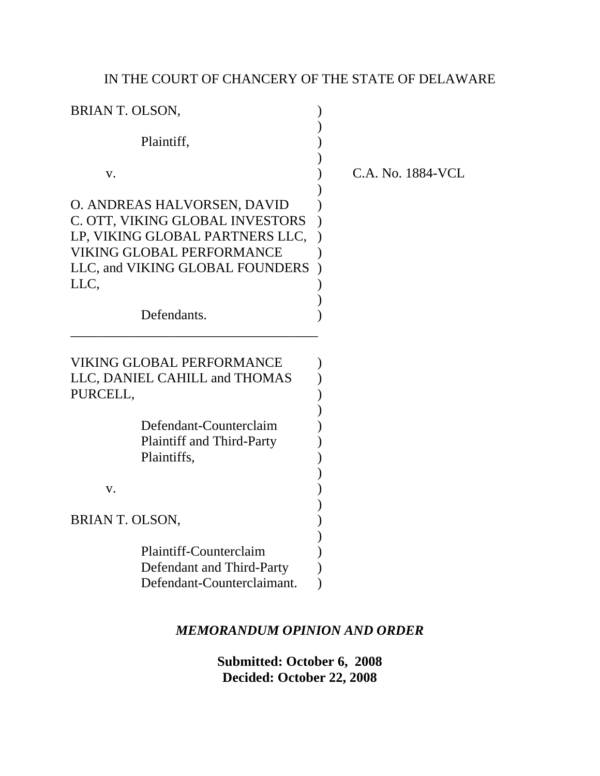# IN THE COURT OF CHANCERY OF THE STATE OF DELAWARE

| <b>BRIAN T. OLSON,</b>                                                                                                                                                           |                   |
|----------------------------------------------------------------------------------------------------------------------------------------------------------------------------------|-------------------|
| Plaintiff,                                                                                                                                                                       |                   |
| V.                                                                                                                                                                               | C.A. No. 1884-VCL |
| O. ANDREAS HALVORSEN, DAVID<br>C. OTT, VIKING GLOBAL INVESTORS<br>LP, VIKING GLOBAL PARTNERS LLC,<br><b>VIKING GLOBAL PERFORMANCE</b><br>LLC, and VIKING GLOBAL FOUNDERS<br>LLC, |                   |
| Defendants.                                                                                                                                                                      |                   |
| <b>VIKING GLOBAL PERFORMANCE</b><br>LLC, DANIEL CAHILL and THOMAS<br>PURCELL,<br>Defendant-Counterclaim<br><b>Plaintiff and Third-Party</b>                                      |                   |
| Plaintiffs,<br>V.                                                                                                                                                                |                   |
| <b>BRIAN T. OLSON,</b>                                                                                                                                                           |                   |
| Plaintiff-Counterclaim<br>Defendant and Third-Party<br>Defendant-Counterclaimant.                                                                                                |                   |

# *MEMORANDUM OPINION AND ORDER*

**Submitted: October 6, 2008 Decided: October 22, 2008**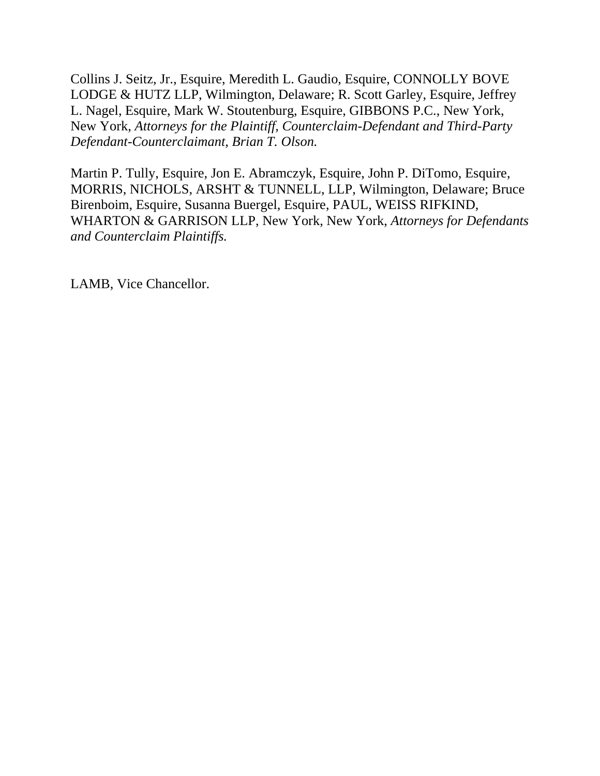Collins J. Seitz, Jr., Esquire, Meredith L. Gaudio, Esquire, CONNOLLY BOVE LODGE & HUTZ LLP, Wilmington, Delaware; R. Scott Garley, Esquire, Jeffrey L. Nagel, Esquire, Mark W. Stoutenburg, Esquire, GIBBONS P.C., New York, New York, *Attorneys for the Plaintiff, Counterclaim-Defendant and Third-Party Defendant-Counterclaimant, Brian T. Olson.*

Martin P. Tully, Esquire, Jon E. Abramczyk, Esquire, John P. DiTomo, Esquire, MORRIS, NICHOLS, ARSHT & TUNNELL, LLP, Wilmington, Delaware; Bruce Birenboim, Esquire, Susanna Buergel, Esquire, PAUL, WEISS RIFKIND, WHARTON & GARRISON LLP, New York, New York, *Attorneys for Defendants and Counterclaim Plaintiffs.*

LAMB, Vice Chancellor.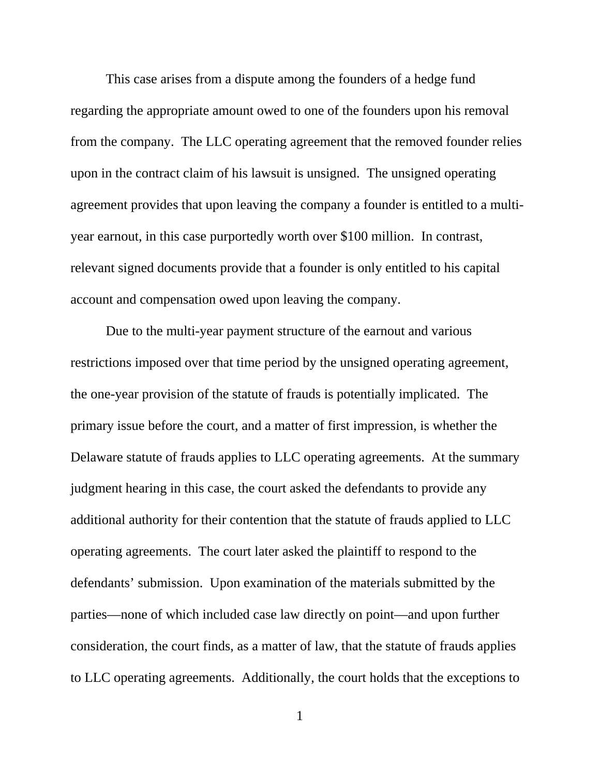This case arises from a dispute among the founders of a hedge fund regarding the appropriate amount owed to one of the founders upon his removal from the company. The LLC operating agreement that the removed founder relies upon in the contract claim of his lawsuit is unsigned. The unsigned operating agreement provides that upon leaving the company a founder is entitled to a multiyear earnout, in this case purportedly worth over \$100 million. In contrast, relevant signed documents provide that a founder is only entitled to his capital account and compensation owed upon leaving the company.

Due to the multi-year payment structure of the earnout and various restrictions imposed over that time period by the unsigned operating agreement, the one-year provision of the statute of frauds is potentially implicated. The primary issue before the court, and a matter of first impression, is whether the Delaware statute of frauds applies to LLC operating agreements. At the summary judgment hearing in this case, the court asked the defendants to provide any additional authority for their contention that the statute of frauds applied to LLC operating agreements. The court later asked the plaintiff to respond to the defendants' submission. Upon examination of the materials submitted by the parties—none of which included case law directly on point—and upon further consideration, the court finds, as a matter of law, that the statute of frauds applies to LLC operating agreements. Additionally, the court holds that the exceptions to

1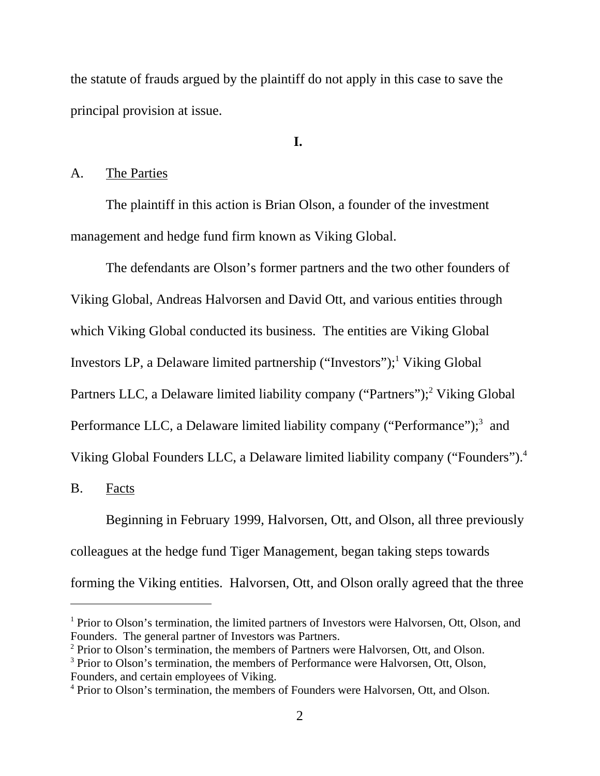the statute of frauds argued by the plaintiff do not apply in this case to save the principal provision at issue.

# **I.**

### A. The Parties

The plaintiff in this action is Brian Olson, a founder of the investment management and hedge fund firm known as Viking Global.

The defendants are Olson's former partners and the two other founders of Viking Global, Andreas Halvorsen and David Ott, and various entities through which Viking Global conducted its business. The entities are Viking Global Investors LP, a Delaware limited partnership ("Investors");<sup>1</sup> Viking Global Partners LLC, a Delaware limited liability company ("Partners");<sup>2</sup> Viking Global Performance LLC, a Delaware limited liability company ("Performance");<sup>3</sup> and Viking Global Founders LLC, a Delaware limited liability company ("Founders").4

B. Facts

Beginning in February 1999, Halvorsen, Ott, and Olson, all three previously colleagues at the hedge fund Tiger Management, began taking steps towards forming the Viking entities. Halvorsen, Ott, and Olson orally agreed that the three

<sup>&</sup>lt;sup>1</sup> Prior to Olson's termination, the limited partners of Investors were Halvorsen, Ott, Olson, and Founders. The general partner of Investors was Partners.

<sup>&</sup>lt;sup>2</sup> Prior to Olson's termination, the members of Partners were Halvorsen, Ott, and Olson.

<sup>&</sup>lt;sup>3</sup> Prior to Olson's termination, the members of Performance were Halvorsen, Ott, Olson, Founders, and certain employees of Viking.

<sup>&</sup>lt;sup>4</sup> Prior to Olson's termination, the members of Founders were Halvorsen, Ott, and Olson.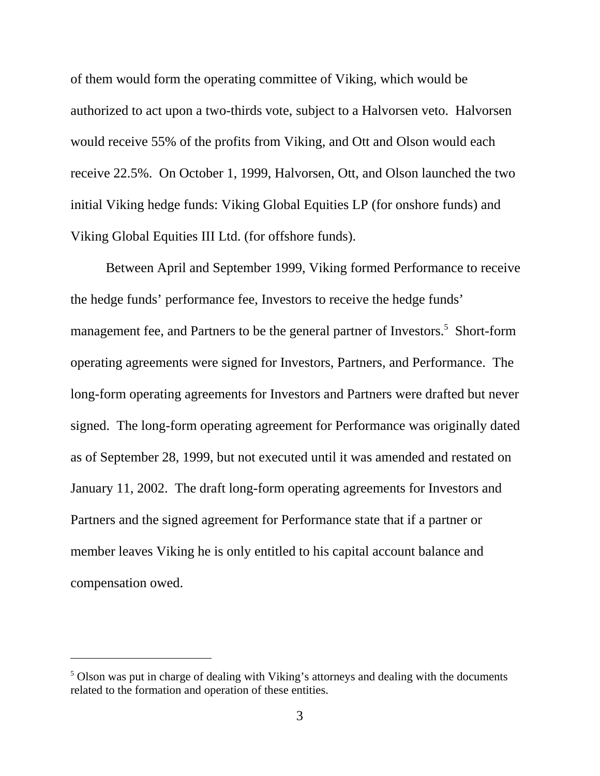of them would form the operating committee of Viking, which would be authorized to act upon a two-thirds vote, subject to a Halvorsen veto. Halvorsen would receive 55% of the profits from Viking, and Ott and Olson would each receive 22.5%. On October 1, 1999, Halvorsen, Ott, and Olson launched the two initial Viking hedge funds: Viking Global Equities LP (for onshore funds) and Viking Global Equities III Ltd. (for offshore funds).

Between April and September 1999, Viking formed Performance to receive the hedge funds' performance fee, Investors to receive the hedge funds' management fee, and Partners to be the general partner of Investors.<sup>5</sup> Short-form operating agreements were signed for Investors, Partners, and Performance. The long-form operating agreements for Investors and Partners were drafted but never signed. The long-form operating agreement for Performance was originally dated as of September 28, 1999, but not executed until it was amended and restated on January 11, 2002. The draft long-form operating agreements for Investors and Partners and the signed agreement for Performance state that if a partner or member leaves Viking he is only entitled to his capital account balance and compensation owed.

<sup>&</sup>lt;sup>5</sup> Olson was put in charge of dealing with Viking's attorneys and dealing with the documents related to the formation and operation of these entities.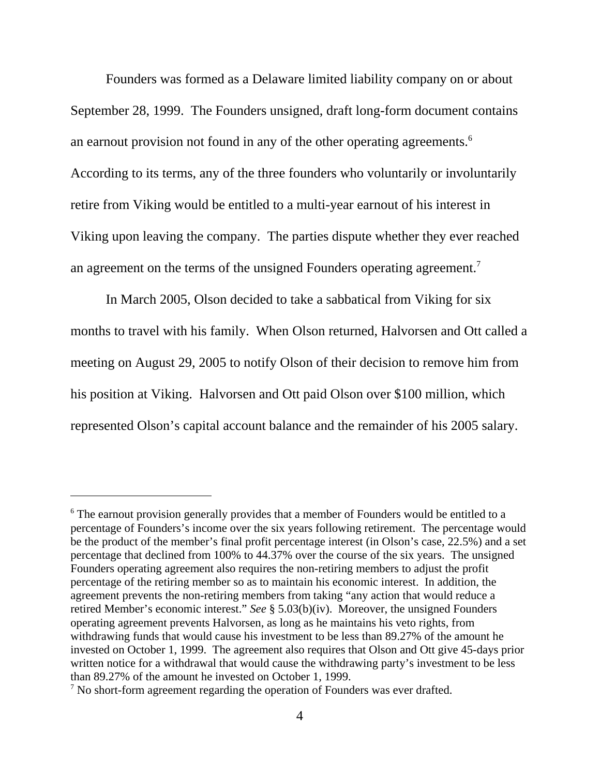Founders was formed as a Delaware limited liability company on or about September 28, 1999. The Founders unsigned, draft long-form document contains an earnout provision not found in any of the other operating agreements.<sup>6</sup> According to its terms, any of the three founders who voluntarily or involuntarily retire from Viking would be entitled to a multi-year earnout of his interest in Viking upon leaving the company. The parties dispute whether they ever reached an agreement on the terms of the unsigned Founders operating agreement.<sup>7</sup>

In March 2005, Olson decided to take a sabbatical from Viking for six months to travel with his family. When Olson returned, Halvorsen and Ott called a meeting on August 29, 2005 to notify Olson of their decision to remove him from his position at Viking. Halvorsen and Ott paid Olson over \$100 million, which represented Olson's capital account balance and the remainder of his 2005 salary.

<sup>&</sup>lt;sup>6</sup> The earnout provision generally provides that a member of Founders would be entitled to a percentage of Founders's income over the six years following retirement. The percentage would be the product of the member's final profit percentage interest (in Olson's case, 22.5%) and a set percentage that declined from 100% to 44.37% over the course of the six years. The unsigned Founders operating agreement also requires the non-retiring members to adjust the profit percentage of the retiring member so as to maintain his economic interest. In addition, the agreement prevents the non-retiring members from taking "any action that would reduce a retired Member's economic interest." *See* § 5.03(b)(iv). Moreover, the unsigned Founders operating agreement prevents Halvorsen, as long as he maintains his veto rights, from withdrawing funds that would cause his investment to be less than 89.27% of the amount he invested on October 1, 1999. The agreement also requires that Olson and Ott give 45-days prior written notice for a withdrawal that would cause the withdrawing party's investment to be less than 89.27% of the amount he invested on October 1, 1999.

 $7$  No short-form agreement regarding the operation of Founders was ever drafted.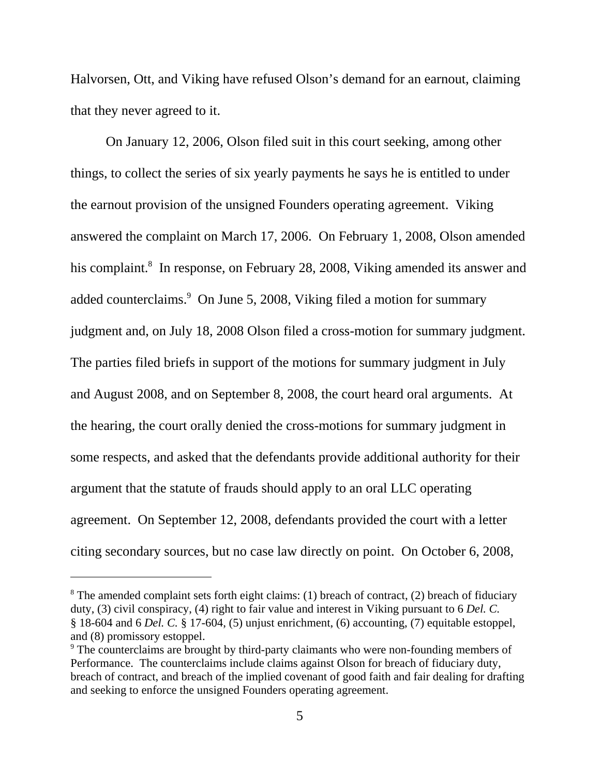Halvorsen, Ott, and Viking have refused Olson's demand for an earnout, claiming that they never agreed to it.

On January 12, 2006, Olson filed suit in this court seeking, among other things, to collect the series of six yearly payments he says he is entitled to under the earnout provision of the unsigned Founders operating agreement. Viking answered the complaint on March 17, 2006. On February 1, 2008, Olson amended his complaint.<sup>8</sup> In response, on February 28, 2008, Viking amended its answer and added counterclaims.<sup>9</sup> On June 5, 2008, Viking filed a motion for summary judgment and, on July 18, 2008 Olson filed a cross-motion for summary judgment. The parties filed briefs in support of the motions for summary judgment in July and August 2008, and on September 8, 2008, the court heard oral arguments. At the hearing, the court orally denied the cross-motions for summary judgment in some respects, and asked that the defendants provide additional authority for their argument that the statute of frauds should apply to an oral LLC operating agreement. On September 12, 2008, defendants provided the court with a letter citing secondary sources, but no case law directly on point. On October 6, 2008,

 $8$  The amended complaint sets forth eight claims: (1) breach of contract, (2) breach of fiduciary duty, (3) civil conspiracy, (4) right to fair value and interest in Viking pursuant to 6 *Del. C.* § 18-604 and 6 *Del. C.* § 17-604, (5) unjust enrichment, (6) accounting, (7) equitable estoppel, and (8) promissory estoppel.

<sup>&</sup>lt;sup>9</sup> The counterclaims are brought by third-party claimants who were non-founding members of Performance. The counterclaims include claims against Olson for breach of fiduciary duty, breach of contract, and breach of the implied covenant of good faith and fair dealing for drafting and seeking to enforce the unsigned Founders operating agreement.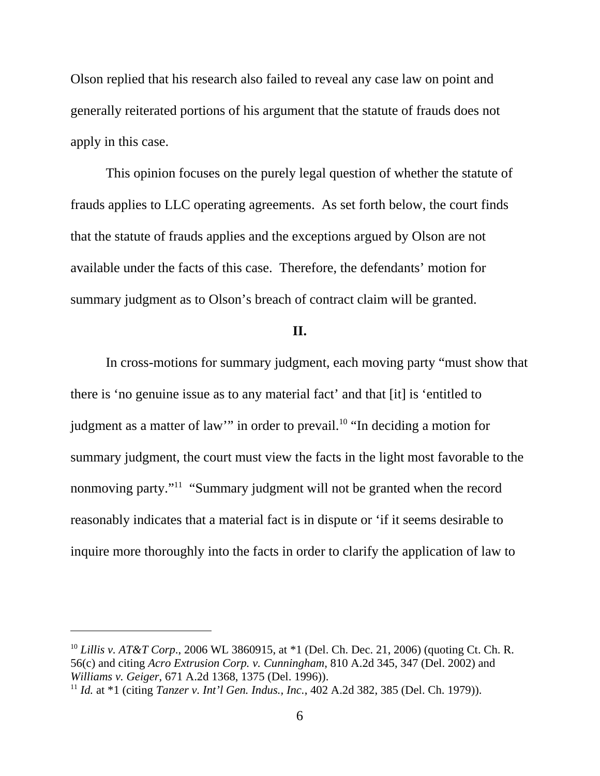Olson replied that his research also failed to reveal any case law on point and generally reiterated portions of his argument that the statute of frauds does not apply in this case.

This opinion focuses on the purely legal question of whether the statute of frauds applies to LLC operating agreements. As set forth below, the court finds that the statute of frauds applies and the exceptions argued by Olson are not available under the facts of this case. Therefore, the defendants' motion for summary judgment as to Olson's breach of contract claim will be granted.

## **II.**

In cross-motions for summary judgment, each moving party "must show that there is 'no genuine issue as to any material fact' and that [it] is 'entitled to judgment as a matter of law" in order to prevail.<sup>10</sup> "In deciding a motion for summary judgment, the court must view the facts in the light most favorable to the nonmoving party."11 "Summary judgment will not be granted when the record reasonably indicates that a material fact is in dispute or 'if it seems desirable to inquire more thoroughly into the facts in order to clarify the application of law to

<sup>10</sup> *Lillis v. AT&T Corp*., 2006 WL 3860915, at \*1 (Del. Ch. Dec. 21, 2006) (quoting Ct. Ch. R. 56(c) and citing *Acro Extrusion Corp. v. Cunningham*, 810 A.2d 345, 347 (Del. 2002) and *Williams v. Geiger*, 671 A.2d 1368, 1375 (Del. 1996)).

<sup>11</sup> *Id.* at \*1 (citing *Tanzer v. Int'l Gen. Indus., Inc.*, 402 A.2d 382, 385 (Del. Ch. 1979)).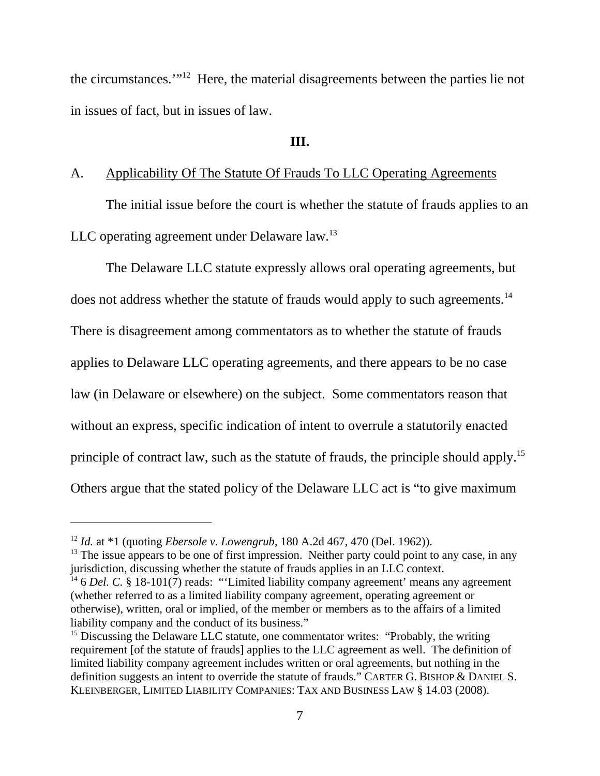the circumstances.'"12 Here, the material disagreements between the parties lie not in issues of fact, but in issues of law.

## **III.**

# A. Applicability Of The Statute Of Frauds To LLC Operating Agreements

The initial issue before the court is whether the statute of frauds applies to an LLC operating agreement under Delaware law.<sup>13</sup>

The Delaware LLC statute expressly allows oral operating agreements, but does not address whether the statute of frauds would apply to such agreements.<sup>14</sup> There is disagreement among commentators as to whether the statute of frauds applies to Delaware LLC operating agreements, and there appears to be no case law (in Delaware or elsewhere) on the subject. Some commentators reason that without an express, specific indication of intent to overrule a statutorily enacted principle of contract law, such as the statute of frauds, the principle should apply.<sup>15</sup> Others argue that the stated policy of the Delaware LLC act is "to give maximum

<sup>12</sup> *Id.* at \*1 (quoting *Ebersole v. Lowengrub*, 180 A.2d 467, 470 (Del. 1962)).

 $<sup>13</sup>$  The issue appears to be one of first impression. Neither party could point to any case, in any</sup> jurisdiction, discussing whether the statute of frauds applies in an LLC context.

<sup>&</sup>lt;sup>14</sup> 6 *Del. C.* § 18-101(7) reads: "'Limited liability company agreement' means any agreement (whether referred to as a limited liability company agreement, operating agreement or otherwise), written, oral or implied, of the member or members as to the affairs of a limited liability company and the conduct of its business."

<sup>&</sup>lt;sup>15</sup> Discussing the Delaware LLC statute, one commentator writes: "Probably, the writing requirement [of the statute of frauds] applies to the LLC agreement as well. The definition of limited liability company agreement includes written or oral agreements, but nothing in the definition suggests an intent to override the statute of frauds." CARTER G. BISHOP & DANIEL S. KLEINBERGER, LIMITED LIABILITY COMPANIES: TAX AND BUSINESS LAW § 14.03 (2008).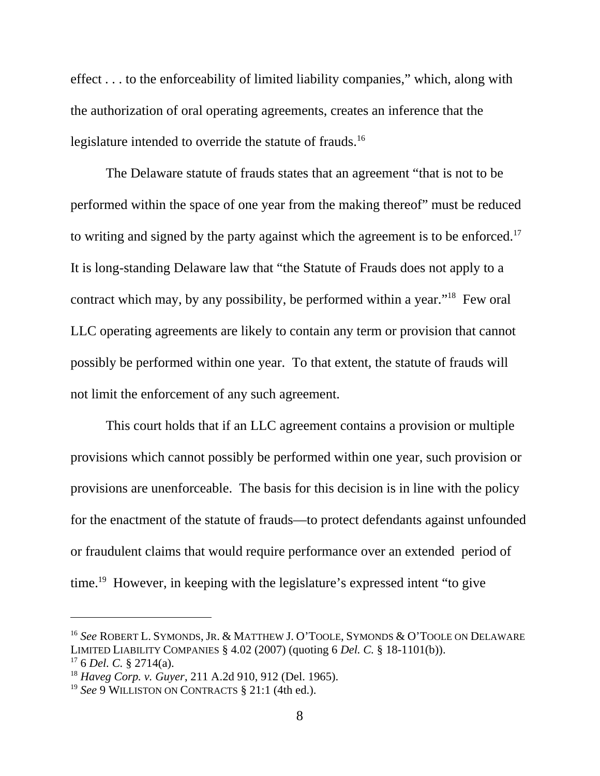effect . . . to the enforceability of limited liability companies," which, along with the authorization of oral operating agreements, creates an inference that the legislature intended to override the statute of frauds.<sup>16</sup>

The Delaware statute of frauds states that an agreement "that is not to be performed within the space of one year from the making thereof" must be reduced to writing and signed by the party against which the agreement is to be enforced.<sup>17</sup> It is long-standing Delaware law that "the Statute of Frauds does not apply to a contract which may, by any possibility, be performed within a year."18 Few oral LLC operating agreements are likely to contain any term or provision that cannot possibly be performed within one year. To that extent, the statute of frauds will not limit the enforcement of any such agreement.

This court holds that if an LLC agreement contains a provision or multiple provisions which cannot possibly be performed within one year, such provision or provisions are unenforceable. The basis for this decision is in line with the policy for the enactment of the statute of frauds—to protect defendants against unfounded or fraudulent claims that would require performance over an extended period of time.<sup>19</sup> However, in keeping with the legislature's expressed intent "to give

<sup>16</sup> *See* ROBERT L. SYMONDS, JR. & MATTHEW J. O'TOOLE, SYMONDS & O'TOOLE ON DELAWARE LIMITED LIABILITY COMPANIES § 4.02 (2007) (quoting 6 *Del. C.* § 18-1101(b)).

 $176$  *Del. C.* § 2714(a).

<sup>18</sup> *Haveg Corp. v. Guyer*, 211 A.2d 910, 912 (Del. 1965).

<sup>19</sup> *See* 9 WILLISTON ON CONTRACTS § 21:1 (4th ed.).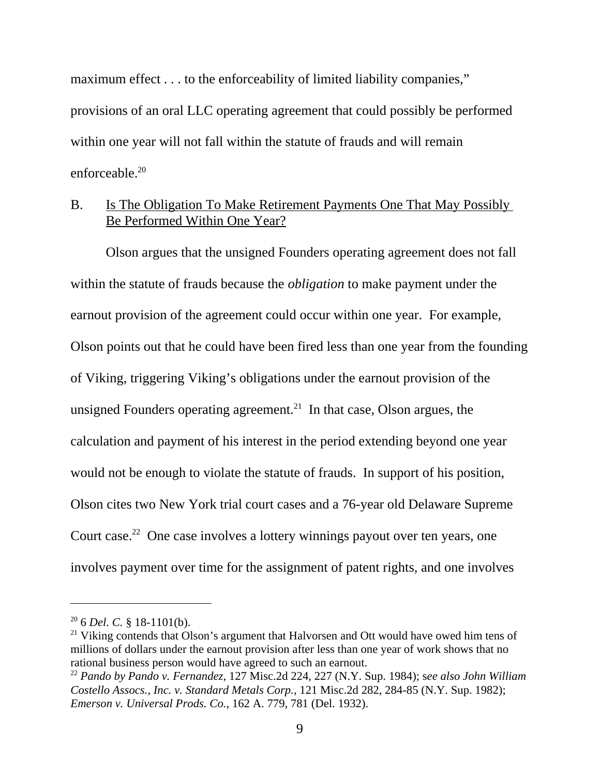maximum effect . . . to the enforceability of limited liability companies," provisions of an oral LLC operating agreement that could possibly be performed within one year will not fall within the statute of frauds and will remain enforceable.<sup>20</sup>

## B. Is The Obligation To Make Retirement Payments One That May Possibly Be Performed Within One Year?

Olson argues that the unsigned Founders operating agreement does not fall within the statute of frauds because the *obligation* to make payment under the earnout provision of the agreement could occur within one year. For example, Olson points out that he could have been fired less than one year from the founding of Viking, triggering Viking's obligations under the earnout provision of the unsigned Founders operating agreement.<sup>21</sup> In that case, Olson argues, the calculation and payment of his interest in the period extending beyond one year would not be enough to violate the statute of frauds. In support of his position, Olson cites two New York trial court cases and a 76-year old Delaware Supreme Court case.<sup>22</sup> One case involves a lottery winnings payout over ten years, one involves payment over time for the assignment of patent rights, and one involves

<sup>20 6</sup> *Del. C.* § 18-1101(b).

 $21$  Viking contends that Olson's argument that Halvorsen and Ott would have owed him tens of millions of dollars under the earnout provision after less than one year of work shows that no rational business person would have agreed to such an earnout.

<sup>22</sup> *Pando by Pando v. Fernandez*, 127 Misc.2d 224, 227 (N.Y. Sup. 1984); s*ee also John William Costello Assocs., Inc. v. Standard Metals Corp.*, 121 Misc.2d 282, 284-85 (N.Y. Sup. 1982); *Emerson v. Universal Prods. Co.*, 162 A. 779, 781 (Del. 1932).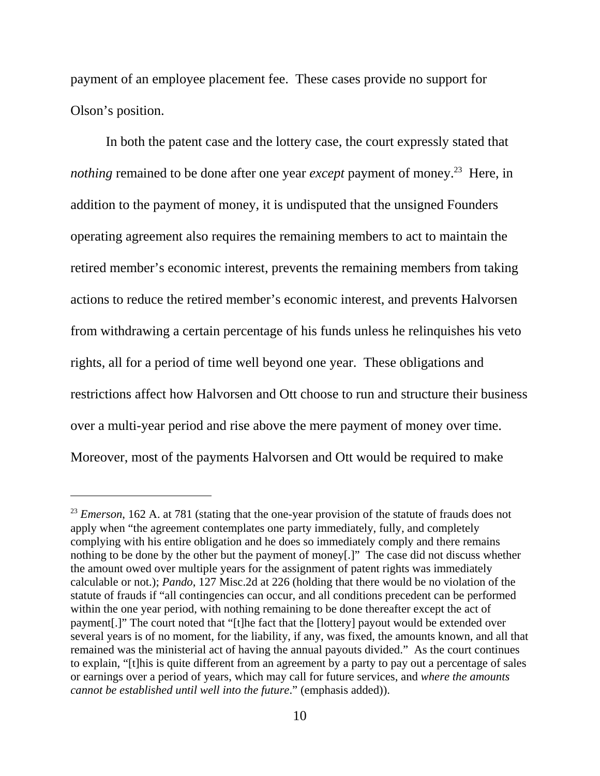payment of an employee placement fee. These cases provide no support for Olson's position.

In both the patent case and the lottery case, the court expressly stated that *nothing* remained to be done after one year *except* payment of money.<sup>23</sup> Here, in addition to the payment of money, it is undisputed that the unsigned Founders operating agreement also requires the remaining members to act to maintain the retired member's economic interest, prevents the remaining members from taking actions to reduce the retired member's economic interest, and prevents Halvorsen from withdrawing a certain percentage of his funds unless he relinquishes his veto rights, all for a period of time well beyond one year. These obligations and restrictions affect how Halvorsen and Ott choose to run and structure their business over a multi-year period and rise above the mere payment of money over time. Moreover, most of the payments Halvorsen and Ott would be required to make

<sup>&</sup>lt;sup>23</sup> *Emerson*, 162 A. at 781 (stating that the one-year provision of the statute of frauds does not apply when "the agreement contemplates one party immediately, fully, and completely complying with his entire obligation and he does so immediately comply and there remains nothing to be done by the other but the payment of money[.]" The case did not discuss whether the amount owed over multiple years for the assignment of patent rights was immediately calculable or not.); *Pando*, 127 Misc.2d at 226 (holding that there would be no violation of the statute of frauds if "all contingencies can occur, and all conditions precedent can be performed within the one year period, with nothing remaining to be done thereafter except the act of payment[.]" The court noted that "[t]he fact that the [lottery] payout would be extended over several years is of no moment, for the liability, if any, was fixed, the amounts known, and all that remained was the ministerial act of having the annual payouts divided." As the court continues to explain, "[t]his is quite different from an agreement by a party to pay out a percentage of sales or earnings over a period of years, which may call for future services, and *where the amounts cannot be established until well into the future*." (emphasis added)).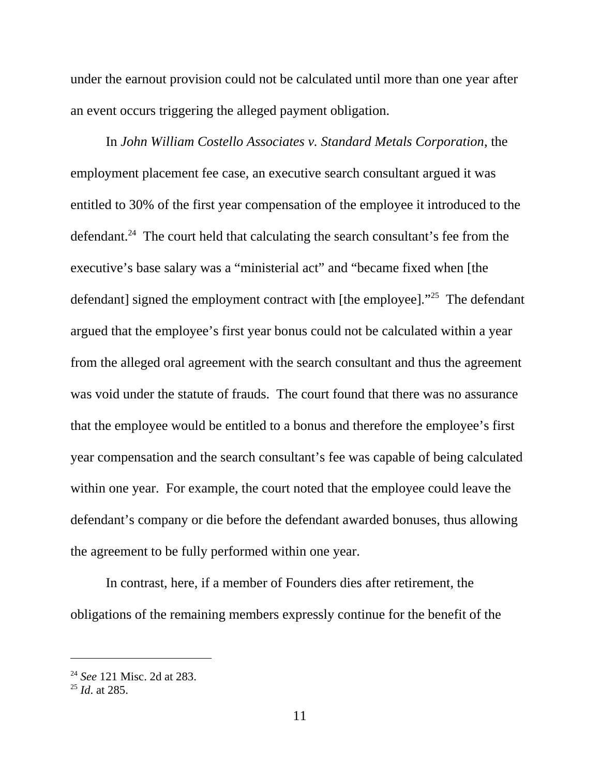under the earnout provision could not be calculated until more than one year after an event occurs triggering the alleged payment obligation.

In *John William Costello Associates v. Standard Metals Corporation*, the employment placement fee case, an executive search consultant argued it was entitled to 30% of the first year compensation of the employee it introduced to the defendant.<sup>24</sup> The court held that calculating the search consultant's fee from the executive's base salary was a "ministerial act" and "became fixed when [the defendant] signed the employment contract with [the employee]."<sup>25</sup> The defendant argued that the employee's first year bonus could not be calculated within a year from the alleged oral agreement with the search consultant and thus the agreement was void under the statute of frauds. The court found that there was no assurance that the employee would be entitled to a bonus and therefore the employee's first year compensation and the search consultant's fee was capable of being calculated within one year. For example, the court noted that the employee could leave the defendant's company or die before the defendant awarded bonuses, thus allowing the agreement to be fully performed within one year.

In contrast, here, if a member of Founders dies after retirement, the obligations of the remaining members expressly continue for the benefit of the

<sup>24</sup> *See* 121 Misc. 2d at 283.

<sup>25</sup> *Id*. at 285.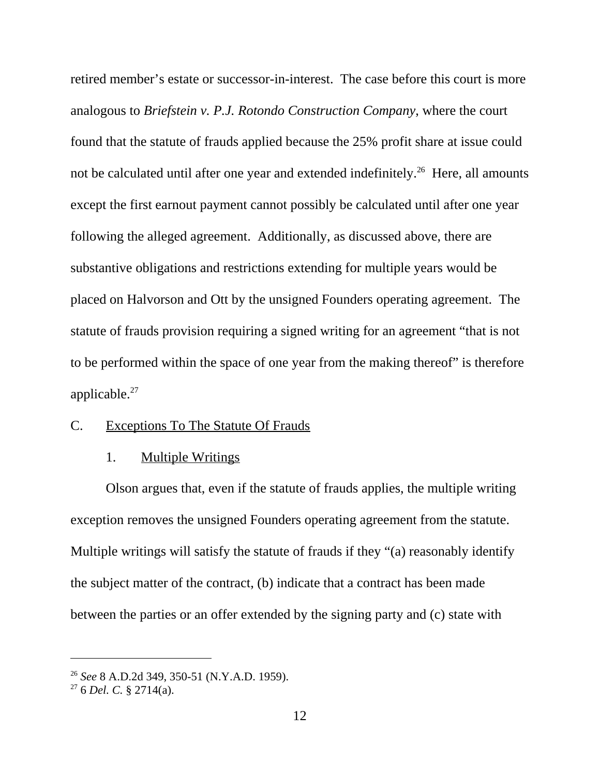retired member's estate or successor-in-interest. The case before this court is more analogous to *Briefstein v. P.J. Rotondo Construction Company*, where the court found that the statute of frauds applied because the 25% profit share at issue could not be calculated until after one year and extended indefinitely.<sup>26</sup> Here, all amounts except the first earnout payment cannot possibly be calculated until after one year following the alleged agreement. Additionally, as discussed above, there are substantive obligations and restrictions extending for multiple years would be placed on Halvorson and Ott by the unsigned Founders operating agreement. The statute of frauds provision requiring a signed writing for an agreement "that is not to be performed within the space of one year from the making thereof" is therefore applicable. $27$ 

## C. Exceptions To The Statute Of Frauds

#### 1. Multiple Writings

Olson argues that, even if the statute of frauds applies, the multiple writing exception removes the unsigned Founders operating agreement from the statute. Multiple writings will satisfy the statute of frauds if they "(a) reasonably identify the subject matter of the contract, (b) indicate that a contract has been made between the parties or an offer extended by the signing party and (c) state with

<sup>26</sup> *See* 8 A.D.2d 349, 350-51 (N.Y.A.D. 1959).

<sup>27 6</sup> *Del. C.* § 2714(a).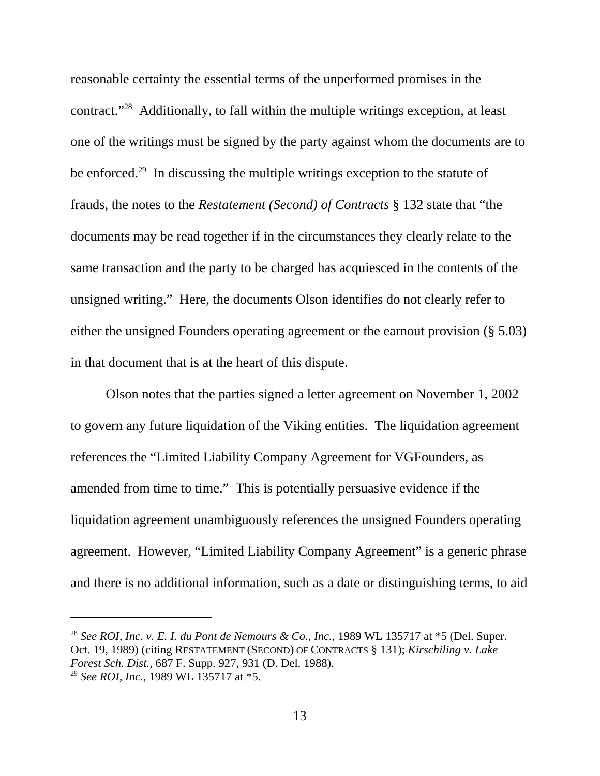reasonable certainty the essential terms of the unperformed promises in the contract."28 Additionally, to fall within the multiple writings exception, at least one of the writings must be signed by the party against whom the documents are to be enforced.29 In discussing the multiple writings exception to the statute of frauds, the notes to the *Restatement (Second) of Contracts* § 132 state that "the documents may be read together if in the circumstances they clearly relate to the same transaction and the party to be charged has acquiesced in the contents of the unsigned writing." Here, the documents Olson identifies do not clearly refer to either the unsigned Founders operating agreement or the earnout provision (§ 5.03) in that document that is at the heart of this dispute.

Olson notes that the parties signed a letter agreement on November 1, 2002 to govern any future liquidation of the Viking entities. The liquidation agreement references the "Limited Liability Company Agreement for VGFounders, as amended from time to time." This is potentially persuasive evidence if the liquidation agreement unambiguously references the unsigned Founders operating agreement. However, "Limited Liability Company Agreement" is a generic phrase and there is no additional information, such as a date or distinguishing terms, to aid

<sup>&</sup>lt;sup>28</sup> *See ROI, Inc. v. E. I. du Pont de Nemours & Co., Inc.,* 1989 WL 135717 at  $*$ 5 (Del. Super. Oct. 19, 1989) (citing RESTATEMENT (SECOND) OF CONTRACTS § 131); *Kirschiling v. Lake Forest Sch. Dist.,* 687 F. Supp. 927, 931 (D. Del. 1988). <sup>29</sup> *See ROI, Inc.*, 1989 WL 135717 at \*5.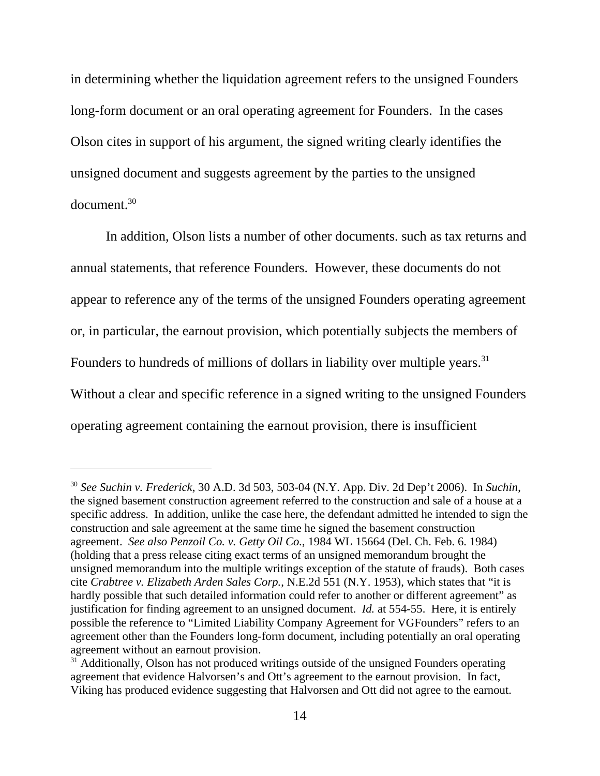in determining whether the liquidation agreement refers to the unsigned Founders long-form document or an oral operating agreement for Founders. In the cases Olson cites in support of his argument, the signed writing clearly identifies the unsigned document and suggests agreement by the parties to the unsigned  $d$ ocument $^{30}$ 

In addition, Olson lists a number of other documents. such as tax returns and annual statements, that reference Founders. However, these documents do not appear to reference any of the terms of the unsigned Founders operating agreement or, in particular, the earnout provision, which potentially subjects the members of Founders to hundreds of millions of dollars in liability over multiple years.<sup>31</sup> Without a clear and specific reference in a signed writing to the unsigned Founders operating agreement containing the earnout provision, there is insufficient

<sup>30</sup> *See Suchin v. Frederick*, 30 A.D. 3d 503, 503-04 (N.Y. App. Div. 2d Dep't 2006). In *Suchin*, the signed basement construction agreement referred to the construction and sale of a house at a specific address. In addition, unlike the case here, the defendant admitted he intended to sign the construction and sale agreement at the same time he signed the basement construction agreement. *See also Penzoil Co. v. Getty Oil Co.*, 1984 WL 15664 (Del. Ch. Feb. 6. 1984) (holding that a press release citing exact terms of an unsigned memorandum brought the unsigned memorandum into the multiple writings exception of the statute of frauds). Both cases cite *Crabtree v. Elizabeth Arden Sales Corp.*, N.E.2d 551 (N.Y. 1953), which states that "it is hardly possible that such detailed information could refer to another or different agreement" as justification for finding agreement to an unsigned document. *Id.* at 554-55. Here, it is entirely possible the reference to "Limited Liability Company Agreement for VGFounders" refers to an agreement other than the Founders long-form document, including potentially an oral operating agreement without an earnout provision.

 $31$  Additionally, Olson has not produced writings outside of the unsigned Founders operating agreement that evidence Halvorsen's and Ott's agreement to the earnout provision. In fact, Viking has produced evidence suggesting that Halvorsen and Ott did not agree to the earnout.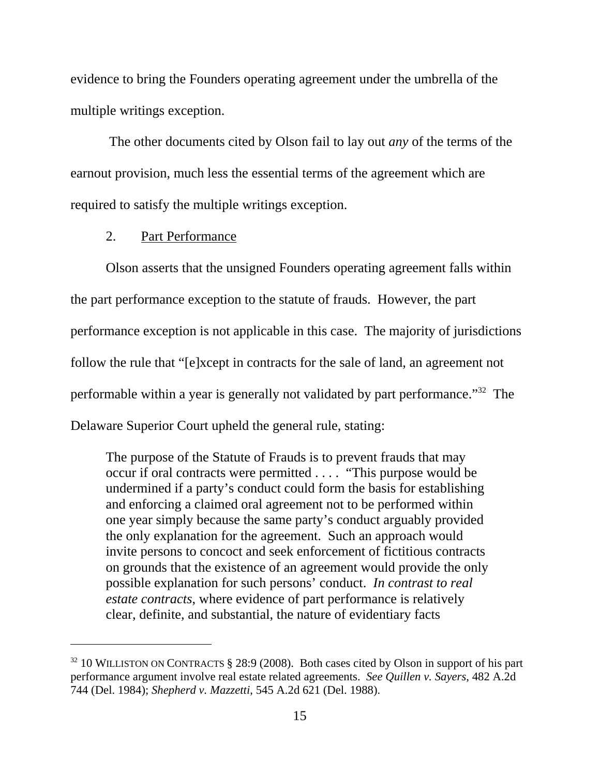evidence to bring the Founders operating agreement under the umbrella of the multiple writings exception.

 The other documents cited by Olson fail to lay out *any* of the terms of the earnout provision, much less the essential terms of the agreement which are required to satisfy the multiple writings exception.

#### 2. Part Performance

Olson asserts that the unsigned Founders operating agreement falls within the part performance exception to the statute of frauds. However, the part performance exception is not applicable in this case. The majority of jurisdictions follow the rule that "[e]xcept in contracts for the sale of land, an agreement not performable within a year is generally not validated by part performance."32 The Delaware Superior Court upheld the general rule, stating:

The purpose of the Statute of Frauds is to prevent frauds that may occur if oral contracts were permitted . . . . "This purpose would be undermined if a party's conduct could form the basis for establishing and enforcing a claimed oral agreement not to be performed within one year simply because the same party's conduct arguably provided the only explanation for the agreement. Such an approach would invite persons to concoct and seek enforcement of fictitious contracts on grounds that the existence of an agreement would provide the only possible explanation for such persons' conduct. *In contrast to real estate contracts*, where evidence of part performance is relatively clear, definite, and substantial, the nature of evidentiary facts

 $32$  10 WILLISTON ON CONTRACTS § 28:9 (2008). Both cases cited by Olson in support of his part performance argument involve real estate related agreements. *See Quillen v. Sayers*, 482 A.2d 744 (Del. 1984); *Shepherd v. Mazzetti*, 545 A.2d 621 (Del. 1988).